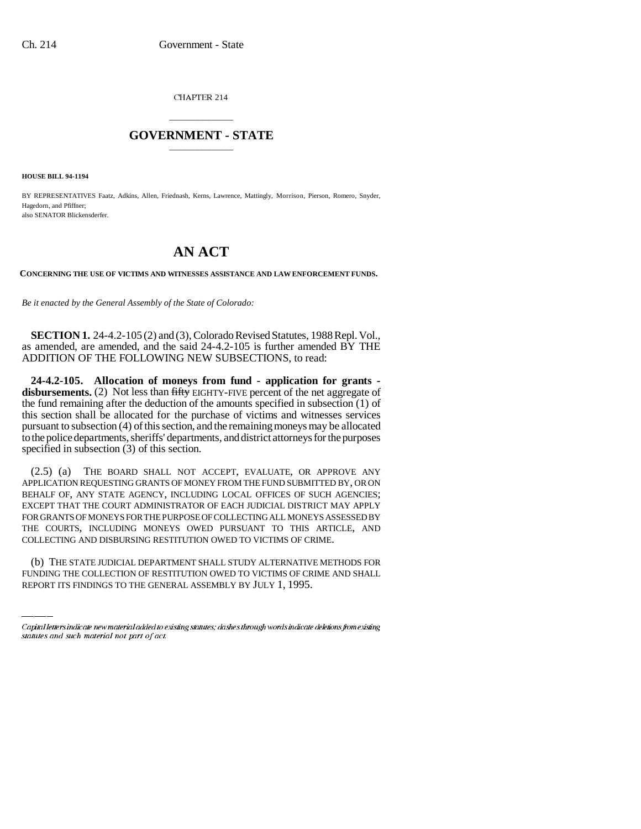CHAPTER 214

## \_\_\_\_\_\_\_\_\_\_\_\_\_\_\_ **GOVERNMENT - STATE** \_\_\_\_\_\_\_\_\_\_\_\_\_\_\_

**HOUSE BILL 94-1194**

BY REPRESENTATIVES Faatz, Adkins, Allen, Friednash, Kerns, Lawrence, Mattingly, Morrison, Pierson, Romero, Snyder, Hagedorn, and Pfiffner; also SENATOR Blickensderfer.

## **AN ACT**

**CONCERNING THE USE OF VICTIMS AND WITNESSES ASSISTANCE AND LAW ENFORCEMENT FUNDS.**

*Be it enacted by the General Assembly of the State of Colorado:*

**SECTION 1.** 24-4.2-105 (2) and (3), Colorado Revised Statutes, 1988 Repl. Vol., as amended, are amended, and the said 24-4.2-105 is further amended BY THE ADDITION OF THE FOLLOWING NEW SUBSECTIONS, to read:

**24-4.2-105. Allocation of moneys from fund - application for grants**  disbursements. (2) Not less than fifty EIGHTY-FIVE percent of the net aggregate of the fund remaining after the deduction of the amounts specified in subsection (1) of this section shall be allocated for the purchase of victims and witnesses services pursuant to subsection (4) of this section, and the remaining moneys may be allocated to the police departments, sheriffs' departments, and district attorneys for the purposes specified in subsection (3) of this section.

COLLECTING AND DISBURSING RESTITUTION OWED TO VICTIMS OF CRIME. (2.5) (a) THE BOARD SHALL NOT ACCEPT, EVALUATE, OR APPROVE ANY APPLICATION REQUESTING GRANTS OF MONEY FROM THE FUND SUBMITTED BY, OR ON BEHALF OF, ANY STATE AGENCY, INCLUDING LOCAL OFFICES OF SUCH AGENCIES; EXCEPT THAT THE COURT ADMINISTRATOR OF EACH JUDICIAL DISTRICT MAY APPLY FOR GRANTS OF MONEYS FOR THE PURPOSE OF COLLECTING ALL MONEYS ASSESSED BY THE COURTS, INCLUDING MONEYS OWED PURSUANT TO THIS ARTICLE, AND

(b) THE STATE JUDICIAL DEPARTMENT SHALL STUDY ALTERNATIVE METHODS FOR FUNDING THE COLLECTION OF RESTITUTION OWED TO VICTIMS OF CRIME AND SHALL REPORT ITS FINDINGS TO THE GENERAL ASSEMBLY BY JULY 1, 1995.

Capital letters indicate new material added to existing statutes; dashes through words indicate deletions from existing statutes and such material not part of act.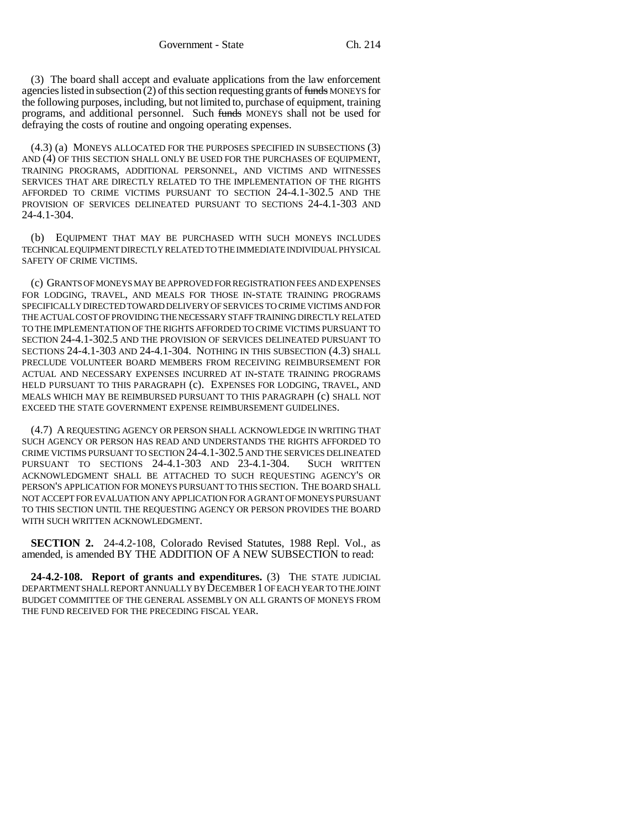(3) The board shall accept and evaluate applications from the law enforcement agencies listed in subsection (2) of this section requesting grants of funds MONEYS for the following purposes, including, but not limited to, purchase of equipment, training programs, and additional personnel. Such funds MONEYS shall not be used for defraying the costs of routine and ongoing operating expenses.

(4.3) (a) MONEYS ALLOCATED FOR THE PURPOSES SPECIFIED IN SUBSECTIONS (3) AND (4) OF THIS SECTION SHALL ONLY BE USED FOR THE PURCHASES OF EQUIPMENT, TRAINING PROGRAMS, ADDITIONAL PERSONNEL, AND VICTIMS AND WITNESSES SERVICES THAT ARE DIRECTLY RELATED TO THE IMPLEMENTATION OF THE RIGHTS AFFORDED TO CRIME VICTIMS PURSUANT TO SECTION 24-4.1-302.5 AND THE PROVISION OF SERVICES DELINEATED PURSUANT TO SECTIONS 24-4.1-303 AND 24-4.1-304.

(b) EQUIPMENT THAT MAY BE PURCHASED WITH SUCH MONEYS INCLUDES TECHNICAL EQUIPMENT DIRECTLY RELATED TO THE IMMEDIATE INDIVIDUAL PHYSICAL SAFETY OF CRIME VICTIMS.

(c) GRANTS OF MONEYS MAY BE APPROVED FOR REGISTRATION FEES AND EXPENSES FOR LODGING, TRAVEL, AND MEALS FOR THOSE IN-STATE TRAINING PROGRAMS SPECIFICALLY DIRECTED TOWARD DELIVERY OF SERVICES TO CRIME VICTIMS AND FOR THE ACTUAL COST OF PROVIDING THE NECESSARY STAFF TRAINING DIRECTLY RELATED TO THE IMPLEMENTATION OF THE RIGHTS AFFORDED TO CRIME VICTIMS PURSUANT TO SECTION 24-4.1-302.5 AND THE PROVISION OF SERVICES DELINEATED PURSUANT TO SECTIONS 24-4.1-303 AND 24-4.1-304. NOTHING IN THIS SUBSECTION (4.3) SHALL PRECLUDE VOLUNTEER BOARD MEMBERS FROM RECEIVING REIMBURSEMENT FOR ACTUAL AND NECESSARY EXPENSES INCURRED AT IN-STATE TRAINING PROGRAMS HELD PURSUANT TO THIS PARAGRAPH (c). EXPENSES FOR LODGING, TRAVEL, AND MEALS WHICH MAY BE REIMBURSED PURSUANT TO THIS PARAGRAPH (c) SHALL NOT EXCEED THE STATE GOVERNMENT EXPENSE REIMBURSEMENT GUIDELINES.

(4.7) A REQUESTING AGENCY OR PERSON SHALL ACKNOWLEDGE IN WRITING THAT SUCH AGENCY OR PERSON HAS READ AND UNDERSTANDS THE RIGHTS AFFORDED TO CRIME VICTIMS PURSUANT TO SECTION 24-4.1-302.5 AND THE SERVICES DELINEATED PURSUANT TO SECTIONS 24-4.1-303 AND 23-4.1-304. SUCH WRITTEN ACKNOWLEDGMENT SHALL BE ATTACHED TO SUCH REQUESTING AGENCY'S OR PERSON'S APPLICATION FOR MONEYS PURSUANT TO THIS SECTION. THE BOARD SHALL NOT ACCEPT FOR EVALUATION ANY APPLICATION FOR A GRANT OF MONEYS PURSUANT TO THIS SECTION UNTIL THE REQUESTING AGENCY OR PERSON PROVIDES THE BOARD WITH SUCH WRITTEN ACKNOWLEDGMENT.

**SECTION 2.** 24-4.2-108, Colorado Revised Statutes, 1988 Repl. Vol., as amended, is amended BY THE ADDITION OF A NEW SUBSECTION to read:

**24-4.2-108. Report of grants and expenditures.** (3) THE STATE JUDICIAL DEPARTMENT SHALL REPORT ANNUALLY BY DECEMBER 1 OF EACH YEAR TO THE JOINT BUDGET COMMITTEE OF THE GENERAL ASSEMBLY ON ALL GRANTS OF MONEYS FROM THE FUND RECEIVED FOR THE PRECEDING FISCAL YEAR.